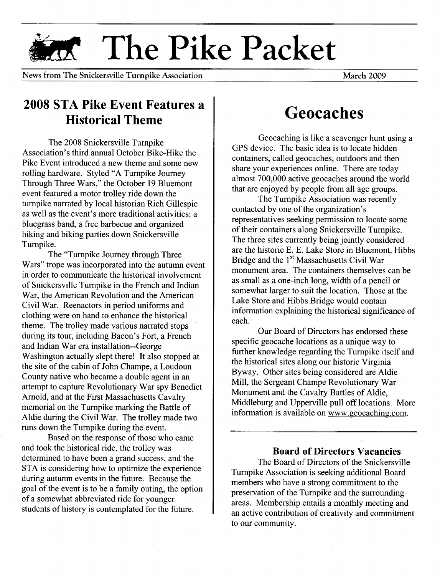# **The Pike Packet**

News from The Snickersville Turnpike Association

**March 2009** 

### **2008 STA Pike Event Features a Historical Theme**

The 2008 Snickersville Turnpike Association's third annual October Bike-Hike the Pike Event introduced a new theme and some new rolling hardware. Styled "A Turnpike Journey Through Three Wars," the October 19 Bluemont event featured a motor trolley ride down the turnpike narrated by local historian Rich Gillespie as well as the event's more traditional activities: a bluegrass band, a free barbecue and organized hiking and biking parties down Snickers ville Turnpike.

The "Turnpike Journey through Three Wars" trope was incorporated into the autumn event in order to communicate the historical involvement of Snickersville Turnpike in the French and Indian War, the American Revolution and the American Civil War. Reenactors in period uniforms and clothing were on hand to enhance the historical theme. The trolley made various narrated stops during its tour, including Bacon's Fort, a French and Indian War era installation--George Washington actually slept there! It also stopped at the site of the cabin of John Champe, a Loudoun County native who became a double agent in an attempt to capture Revolutionary War spy Benedict Arnold, and at the First Massachusetts Cavalry memorial on the Turnpike marking the Battle of Aldie during the Civil War. The trolley made two runs down the Turnpike during the event.

Based on the response of those who came and took the historical ride, the trolley was determined to have been a grand success, and the STA is considering how to optimize the experience during autumn events in the future. Because the goal of the event is to be a family outing, the option of a somewhat abbreviated ride for younger students of history is contemplated for the future.

### **Geocaches**

Geocaching is like a scavenger hunt using a GPS device. The basic idea is to locate hidden containers, called geocaches, outdoors and then share your experiences online. There are today almost 700,000 active geocaches around the world that are enjoyed by people from all age groups.

The Turnpike Association was recently contacted by one of the organization's representatives seeking permission to locate some of their containers along Snickersville Turnpike. The three sites currently being jointly considered are the historic E. E. Lake Store in Bluemont, Hibbs Bridge and the 1<sup>st</sup> Massachusetts Civil War monument area. The containers themselves can be as small as a one-inch long, width of a pencil or somewhat larger to suit the location. Those at the Lake Store and Hibbs Bridge would contain information explaining the historical significance of each.

Our Board of Directors has endorsed these specific geocache locations as a unique way to further knowledge regarding the Turnpike itself and the historical sites along our historic Virginia Byway. Other sites being considered are Aldie Mill, the Sergeant Champe Revolutionary War Monument and the Cavalry Battles of Aldie, Middleburg and Upperville pull off locations. More information is available on [www.geocaching.com.](http://www.geocaching.com.)

#### **Board of Directors Vacancies**

The Board of Directors of the Snickersville Turnpike Association is seeking additional Board members who have a strong commitment to the preservation of the Turnpike and the surrounding areas. Membership entails a monthly meeting and an active contribution of creativity and commitment to our community.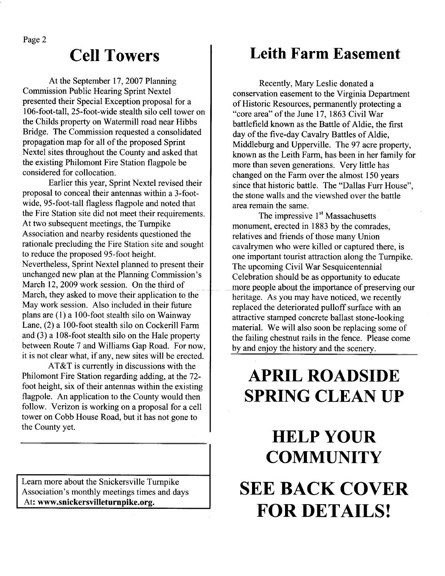At the September 17, 2007 Planning Commission Public Hearing Sprint Nextel presented their Special Exception proposal for a 106-foot-tall, 25-foot-wide stealth silo cell tower on the Childs property on Watermill road near Hibbs Bridge. The Commission requested a consolidated propagation map for all of the proposed Sprint Nextel sites throughout the County and asked that the existing Philomont Fire Station flagpole be considered for collocation.

**Cell Towers**

Earlier this year, Sprint Nextel revised their proposal to conceal their antennas within a 3-footwide, 95-foot-tall flagless flagpole and noted that the Fire Station site did not meet their requirements. At two subsequent meetings, the Turnpike Association and nearby residents questioned the rationale precluding the Fire Station site and sought to reduce the proposed 95-foot height. Nevertheless, Sprint Nextel planned to present their unchanged new plan at the Planning Commission's March 12, 2009 work session. On the third of March, they asked to move their application to the May work session. Also included in their future plans are (1) a 100-foot stealth silo on Wainway Lane, (2) a 100-foot stealth silo on Cockerill Farm and (3) a 108-foot stealth silo on the Hale property between Route 7 and Williams Gap Road. For now, it is not clear what, if any, new sites will be erected.

AT &T is currently in discussions with the Philomont Fire Station regarding adding, at the 72 foot height, six of their antennas within the existing flagpole. An application to the County would then follow. Verizon is working on a proposal for a cell tower on Cobb House Road, but it has not gone to the County yet.

Learn more about the Snickersville Turnpike Association's monthly meetings times and days At: **[www.snickersvilleturnpike.org.](http://www.snickersvilleturnpike.org.)**

### **Leith Farm Easement**

Recently, Mary Leslie donated a conservation easement to the Virginia Department of Historic Resources, permanently protecting a "core area" of the June 17, 1863 Civil War battlefield known as the Battle of Aldie, the first day of the five-day Cavalry Battles of Aldie, Middleburg and Upperville. The 97 acre property, known as the Leith Farm, has been in her family for more than seven generations. Very little has changed on the Farm over the almost 150 years since that historic battle. The "Dallas Furr House", the stone walls and the viewshed over the battle area remain the same.

The impressive  $1<sup>st</sup>$  Massachusetts monument, erected in 1883 by the comrades, relatives and friends of those many Union cavalrymen who were killed or captured there, is one important tourist attraction along the Turnpike. The upcoming Civil War Sesquicentennial Celebration should be as opportunity to educate more people about the importance of preserving our heritage. As you may have noticed, we recently replaced the deteriorated pulloff surface with an attractive stamped concrete ballast stone-looking material. We will also soon be replacing some of the failing chestnut rails in the fence. Please come by and enjoy the history and the scenery.

## **APRIL ROADSIDE SPRING CLEAN UP**

# HELP YOUR **COMMUNITY SEE BACK COVER FOR DETAILS!**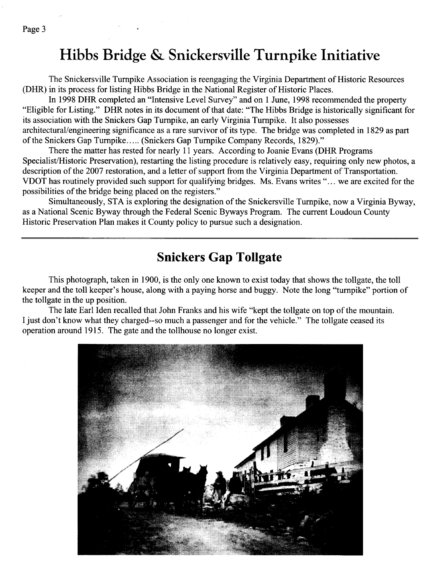### **Hibbs Bridge & Snickersville Turnpike Initiative**

The Snickersville Turnpike Association is reengaging the Virginia Department of Historic Resources (DHR) in its process for listing Hibbs Bridge in the National Register of Historic Places.

In 1998 DHR completed an "Intensive Level Survey" and on 1 June, 1998 recommended the property "Eligible for Listing." DHR notes in its document of that date: "The Hibbs Bridge is historically significant for its association with the Snickers Gap Turnpike, an early Virginia Turnpike. It also possesses architectural/engineering significance as a rare survivor of its type. The bridge was completed in 1829 as part of the Snickers Gap Turnpike ..... (Snickers Gap Turnpike Company Records, 1829)."

There the matter has rested for nearly 11 years. According to Joanie Evans (DHR Programs Specialist/Historic Preservation), restarting the listing procedure is relatively easy, requiring only new photos, a description of the 2007 restoration, and a letter of support from the Virginia Department of Transportation. VDOT has routinely provided such support for qualifying bridges. Ms. Evans writes" ... we are excited for the possibilities of the bridge being placed on the registers."

Simultaneously, STA is exploring the designation of the Snickersville Turnpike, now a Virginia Byway, as a National Scenic Byway through the Federal Scenic Byways Program. The current Loudoun County Historic Preservation Plan makes it County policy to pursue such a designation.

### **Snickers Gap Tollgate**

This photograph, taken in 1900, is the only one known to exist today that shows the tollgate, the toll keeper and the toll keeper's house, along with a paying horse and buggy. Note the long "turnpike" portion of the tollgate in the up position.

The late Earl Iden recalled that John Franks and his wife "kept the tollgate on top of the mountain. I just don't know what they charged--so much a passenger and for the vehicle." The tollgate ceased its operation around 1915. The gate and the tollhouse no longer exist.